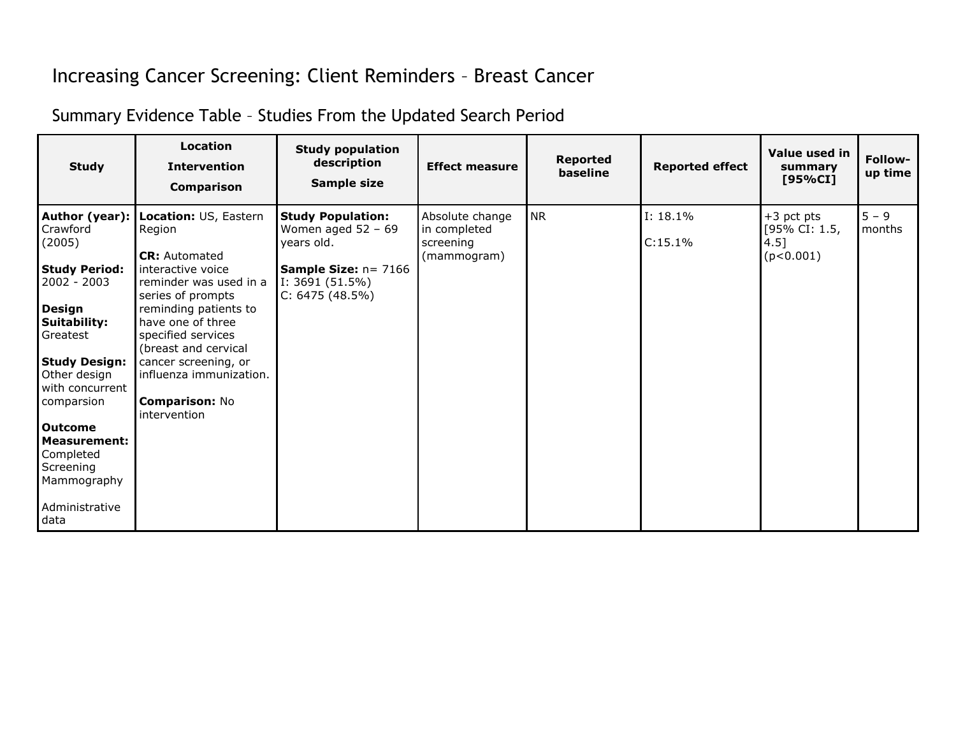## Increasing Cancer Screening: Client Reminders – Breast Cancer

Summary Evidence Table – Studies From the Updated Search Period

| <b>Study</b>                           | Location<br><b>Intervention</b><br><b>Comparison</b>                    | <b>Study population</b><br>description<br>Sample size                   | <b>Effect measure</b>                                       | <b>Reported</b><br>baseline | <b>Reported effect</b> | Value used in<br>summary<br>[95%CI]                   | Follow-<br>up time |
|----------------------------------------|-------------------------------------------------------------------------|-------------------------------------------------------------------------|-------------------------------------------------------------|-----------------------------|------------------------|-------------------------------------------------------|--------------------|
| Author (year):  <br>Crawford<br>(2005) | Location: US, Eastern<br>Region<br><b>CR:</b> Automated                 | <b>Study Population:</b><br>Women aged $52 - 69$<br>years old.          | Absolute change<br>in completed<br>screening<br>(mammogram) | <b>NR</b>                   | I: 18.1%<br>C:15.1%    | $+3$ pct pts<br>[95% CI: 1.5,<br>$4.5$ ]<br>(p<0.001) | $5 - 9$<br>months  |
| <b>Study Period:</b><br>2002 - 2003    | interactive voice<br>reminder was used in a<br>series of prompts        | <b>Sample Size:</b> $n = 7166$<br>I: 3691 $(51.5\%)$<br>C: 6475 (48.5%) |                                                             |                             |                        |                                                       |                    |
| Design<br>Suitability:<br>Greatest     | reminding patients to<br>have one of three<br>specified services        |                                                                         |                                                             |                             |                        |                                                       |                    |
| <b>Study Design:</b><br>Other design   | (breast and cervical<br>cancer screening, or<br>influenza immunization. |                                                                         |                                                             |                             |                        |                                                       |                    |
| with concurrent<br>comparsion          | <b>Comparison: No</b>                                                   |                                                                         |                                                             |                             |                        |                                                       |                    |
| <b>Outcome</b><br><b>Measurement:</b>  | intervention                                                            |                                                                         |                                                             |                             |                        |                                                       |                    |
| Completed<br>Screening<br>Mammography  |                                                                         |                                                                         |                                                             |                             |                        |                                                       |                    |
| Administrative<br>data                 |                                                                         |                                                                         |                                                             |                             |                        |                                                       |                    |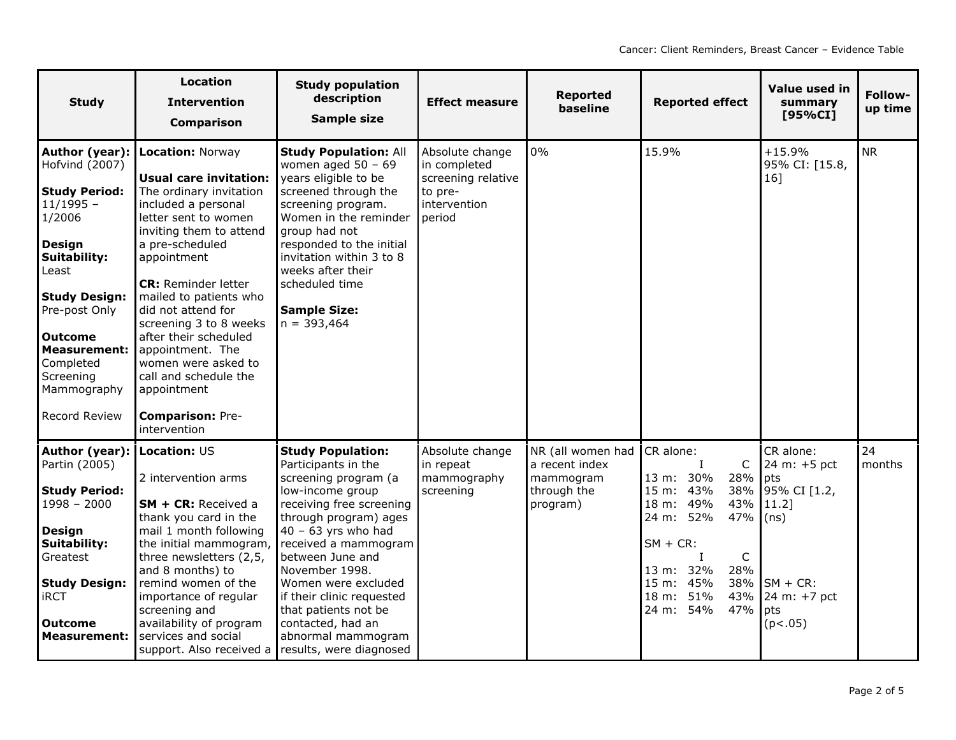| <b>Study</b>                                                                                                                                                                                                                                                            | <b>Location</b><br><b>Intervention</b><br><b>Comparison</b>                                                                                                                                                                                                                                                                                                                                                                                                    | <b>Study population</b><br>description<br>Sample size                                                                                                                                                                                                                                                                                                                                     | <b>Effect measure</b>                                                                      | <b>Reported</b><br>baseline                                                 | <b>Reported effect</b>                                                                                                                                                                                                                      | Value used in<br>summary<br>[95%CI]                                                                                       | Follow-<br>up time |
|-------------------------------------------------------------------------------------------------------------------------------------------------------------------------------------------------------------------------------------------------------------------------|----------------------------------------------------------------------------------------------------------------------------------------------------------------------------------------------------------------------------------------------------------------------------------------------------------------------------------------------------------------------------------------------------------------------------------------------------------------|-------------------------------------------------------------------------------------------------------------------------------------------------------------------------------------------------------------------------------------------------------------------------------------------------------------------------------------------------------------------------------------------|--------------------------------------------------------------------------------------------|-----------------------------------------------------------------------------|---------------------------------------------------------------------------------------------------------------------------------------------------------------------------------------------------------------------------------------------|---------------------------------------------------------------------------------------------------------------------------|--------------------|
| Author (year):<br>Hofvind (2007)<br><b>Study Period:</b><br>$11/1995 -$<br>1/2006<br><b>Design</b><br>Suitability:<br>Least<br><b>Study Design:</b><br>Pre-post Only<br><b>Outcome</b><br><b>Measurement:</b><br>Completed<br>Screening<br>Mammography<br>Record Review | <b>Location: Norway</b><br><b>Usual care invitation:</b><br>The ordinary invitation<br>included a personal<br>letter sent to women<br>inviting them to attend<br>a pre-scheduled<br>appointment<br><b>CR:</b> Reminder letter<br>mailed to patients who<br>did not attend for<br>screening 3 to 8 weeks<br>after their scheduled<br>appointment. The<br>women were asked to<br>call and schedule the<br>appointment<br><b>Comparison: Pre-</b><br>intervention | <b>Study Population: All</b><br>women aged $50 - 69$<br>years eligible to be<br>screened through the<br>screening program.<br>Women in the reminder<br>group had not<br>responded to the initial<br>invitation within 3 to 8<br>weeks after their<br>scheduled time<br><b>Sample Size:</b><br>$n = 393,464$                                                                               | Absolute change<br>in completed<br>screening relative<br>to pre-<br>intervention<br>period | 0%                                                                          | 15.9%                                                                                                                                                                                                                                       | $+15.9%$<br>95% CI: [15.8,<br>16]                                                                                         | <b>NR</b>          |
| Author (year):<br>Partin (2005)<br><b>Study Period:</b><br>$1998 - 2000$<br><b>Design</b><br>Suitability:<br>Greatest<br><b>Study Design:</b><br><b>iRCT</b><br><b>Outcome</b><br><b>Measurement:</b>                                                                   | Location: US<br>2 intervention arms<br>SM + CR: Received a<br>thank you card in the<br>mail 1 month following<br>the initial mammogram,<br>three newsletters (2,5,<br>and 8 months) to<br>remind women of the<br>importance of regular<br>screening and<br>availability of program<br>services and social<br>support. Also received a                                                                                                                          | <b>Study Population:</b><br>Participants in the<br>screening program (a<br>low-income group<br>receiving free screening<br>through program) ages<br>$40 - 63$ yrs who had<br>received a mammogram<br>between June and<br>November 1998.<br>Women were excluded<br>if their clinic requested<br>that patients not be<br>contacted, had an<br>abnormal mammogram<br>results, were diagnosed | Absolute change<br>in repeat<br>mammography<br>screening                                   | NR (all women had<br>a recent index<br>mammogram<br>through the<br>program) | CR alone:<br>$\mathsf{C}$<br>$\mathbf I$<br>13 m: 30%<br>28%<br>15 m: 43%<br>18 m: 49%<br>43%<br>24 m: 52%<br>47%<br>$SM + CR$ :<br>$\mathsf C$<br>$\bf{I}$<br>13 m: 32%<br>28%<br>15 m: 45%<br>38%<br>18 m: 51%<br>43%<br>24 m: 54%<br>47% | CR alone:<br>24 m: +5 pct<br>pts<br>38% 95% CI [1.2,<br>$11.2$ ]<br>(ns)<br>$SM + CR$ :<br>24 m: +7 pct<br>pts<br>(p<.05) | 24<br>months       |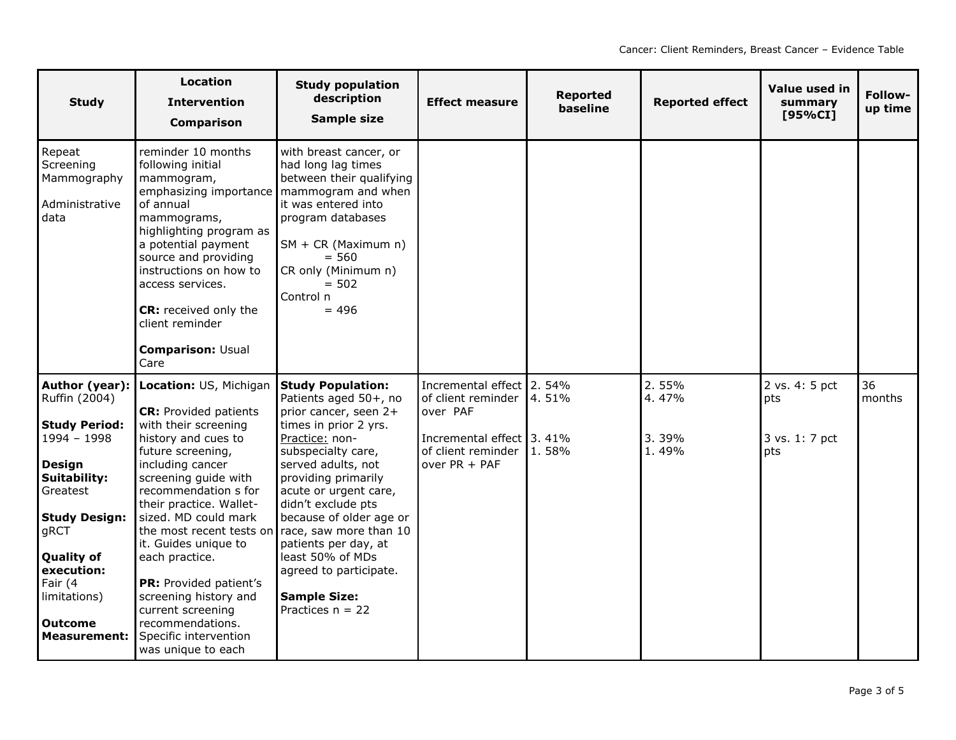| <b>Study</b>                                                                                                                                                                                                                                                               | <b>Location</b><br><b>Intervention</b><br><b>Comparison</b>                                                                                                                                                                                                                                                                                                                                                                                                               | <b>Study population</b><br>description<br>Sample size                                                                                                                                                                                                                                                                                                                                                           | <b>Effect measure</b>                                                                                                           | <b>Reported</b><br>baseline | <b>Reported effect</b>           | Value used in<br>summary<br>[95%CI]            | Follow-<br>up time |
|----------------------------------------------------------------------------------------------------------------------------------------------------------------------------------------------------------------------------------------------------------------------------|---------------------------------------------------------------------------------------------------------------------------------------------------------------------------------------------------------------------------------------------------------------------------------------------------------------------------------------------------------------------------------------------------------------------------------------------------------------------------|-----------------------------------------------------------------------------------------------------------------------------------------------------------------------------------------------------------------------------------------------------------------------------------------------------------------------------------------------------------------------------------------------------------------|---------------------------------------------------------------------------------------------------------------------------------|-----------------------------|----------------------------------|------------------------------------------------|--------------------|
| Repeat<br>Screening<br>Mammography<br>Administrative<br>data                                                                                                                                                                                                               | reminder 10 months<br>following initial<br>mammogram,<br>emphasizing importance<br>of annual<br>mammograms,<br>highlighting program as<br>a potential payment<br>source and providing<br>instructions on how to<br>access services.<br><b>CR:</b> received only the<br>client reminder<br><b>Comparison: Usual</b><br>Care                                                                                                                                                | with breast cancer, or<br>had long lag times<br>between their qualifying<br>mammogram and when<br>it was entered into<br>program databases<br>$SM + CR$ (Maximum n)<br>$= 560$<br>CR only (Minimum n)<br>$= 502$<br>Control n<br>$= 496$                                                                                                                                                                        |                                                                                                                                 |                             |                                  |                                                |                    |
| Author (year):<br><b>Ruffin (2004)</b><br><b>Study Period:</b><br>$1994 - 1998$<br><b>Design</b><br><b>Suitability:</b><br>Greatest<br><b>Study Design:</b><br>gRCT<br><b>Quality of</b><br>execution:<br>Fair (4<br>limitations)<br><b>Outcome</b><br><b>Measurement:</b> | Location: US, Michigan<br><b>CR:</b> Provided patients<br>with their screening<br>history and cues to<br>future screening,<br>including cancer<br>screening quide with<br>recommendation s for<br>their practice. Wallet-<br>sized. MD could mark<br>the most recent tests on<br>it. Guides unique to<br>each practice.<br><b>PR:</b> Provided patient's<br>screening history and<br>current screening<br>recommendations.<br>Specific intervention<br>was unique to each | <b>Study Population:</b><br>Patients aged 50+, no<br>prior cancer, seen 2+<br>times in prior 2 yrs.<br>Practice: non-<br>subspecialty care,<br>served adults, not<br>providing primarily<br>acute or urgent care,<br>didn't exclude pts<br>because of older age or<br>race, saw more than 10<br>patients per day, at<br>least 50% of MDs<br>agreed to participate.<br><b>Sample Size:</b><br>Practices $n = 22$ | Incremental effect 2. 54%<br>of client reminder<br>over PAF<br>Incremental effect 3. 41%<br>of client reminder<br>over PR + PAF | 4.51%<br>1.58%              | 2.55%<br>4.47%<br>3.39%<br>1.49% | 2 vs. 4: 5 pct<br>pts<br>3 vs. 1: 7 pct<br>pts | 36<br>months       |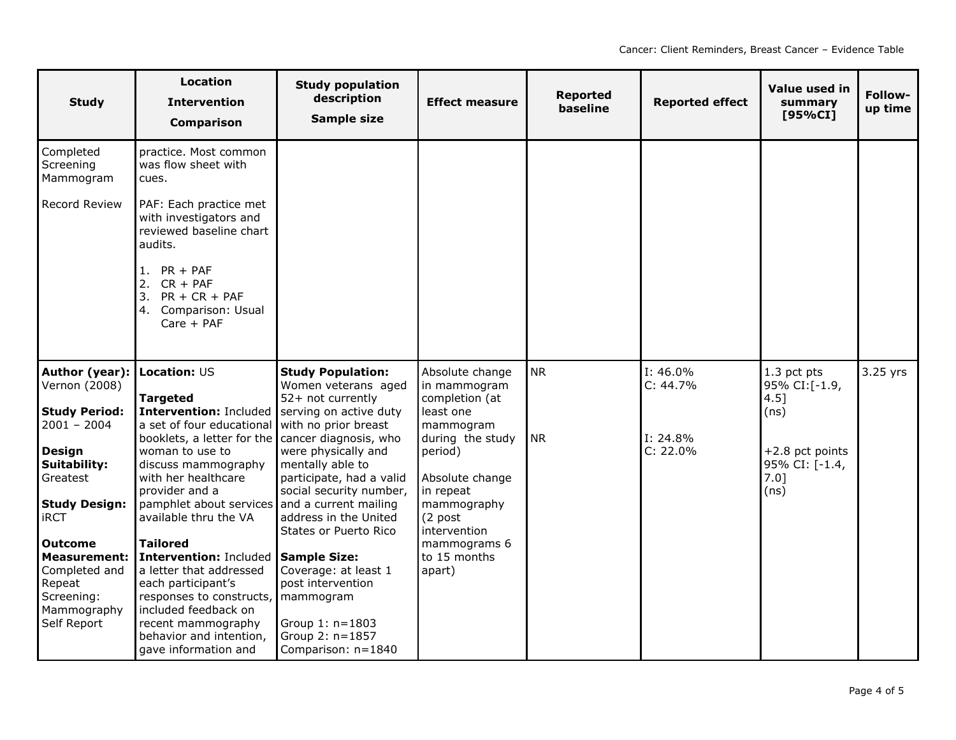| <b>Study</b>                                         | Location<br><b>Intervention</b><br><b>Comparison</b>                                                                                                                                 | <b>Study population</b><br>description<br><b>Sample size</b>                                   | <b>Effect measure</b>                                       | <b>Reported</b><br>baseline | <b>Reported effect</b>  | Value used in<br>summary<br>[95%CI]                    | Follow-<br>up time |
|------------------------------------------------------|--------------------------------------------------------------------------------------------------------------------------------------------------------------------------------------|------------------------------------------------------------------------------------------------|-------------------------------------------------------------|-----------------------------|-------------------------|--------------------------------------------------------|--------------------|
| Completed<br>Screening<br>Mammogram                  | practice. Most common<br>was flow sheet with<br>cues.                                                                                                                                |                                                                                                |                                                             |                             |                         |                                                        |                    |
| Record Review                                        | PAF: Each practice met<br>with investigators and<br>reviewed baseline chart<br>audits.                                                                                               |                                                                                                |                                                             |                             |                         |                                                        |                    |
|                                                      | 1. $PR + PAF$<br>2.<br>$CR + PAF$<br>$PR + CR + PAF$<br>3.<br>Comparison: Usual<br>4.<br>$Care + PAF$                                                                                |                                                                                                |                                                             |                             |                         |                                                        |                    |
| Author (year):<br>Vernon (2008)                      | <b>Location: US</b>                                                                                                                                                                  | <b>Study Population:</b><br>Women veterans aged                                                | Absolute change<br>in mammogram                             | <b>NR</b>                   | I: 46.0%<br>C: 44.7%    | 1.3 pct pts<br>95% CI:[-1.9,                           | 3.25 yrs           |
| <b>Study Period:</b>                                 | <b>Targeted</b><br>Intervention: Included                                                                                                                                            | 52+ not currently<br>serving on active duty                                                    | completion (at<br>least one                                 |                             |                         | $4.5$ ]<br>(ns)                                        |                    |
| $2001 - 2004$                                        | a set of four educational                                                                                                                                                            | with no prior breast                                                                           | mammogram                                                   |                             |                         |                                                        |                    |
| <b>Design</b><br><b>Suitability:</b><br>Greatest     | booklets, a letter for the cancer diagnosis, who<br>woman to use to<br>discuss mammography<br>with her healthcare<br>provider and a<br>pamphlet about services and a current mailing | were physically and<br>mentally able to<br>participate, had a valid<br>social security number, | during the study<br>period)<br>Absolute change<br>in repeat | <b>NR</b>                   | I: 24.8%<br>$C: 22.0\%$ | $+2.8$ pct points<br>95% CI: [-1.4,<br>$7.0$ ]<br>(ns) |                    |
| <b>Study Design:</b><br><b>iRCT</b>                  | available thru the VA                                                                                                                                                                | address in the United<br>States or Puerto Rico                                                 | mammography<br>(2 post<br>intervention                      |                             |                         |                                                        |                    |
| <b>Outcome</b><br><b>Measurement:</b>                | <b>Tailored</b><br>Intervention: Included Sample Size:                                                                                                                               |                                                                                                | mammograms 6<br>to 15 months                                |                             |                         |                                                        |                    |
| Completed and<br>Repeat<br>Screening:<br>Mammography | a letter that addressed<br>each participant's<br>responses to constructs, mammogram<br>included feedback on                                                                          | Coverage: at least 1<br>post intervention                                                      | apart)                                                      |                             |                         |                                                        |                    |
| Self Report                                          | recent mammography<br>behavior and intention,<br>gave information and                                                                                                                | Group 1: n=1803<br>Group 2: n=1857<br>Comparison: n=1840                                       |                                                             |                             |                         |                                                        |                    |